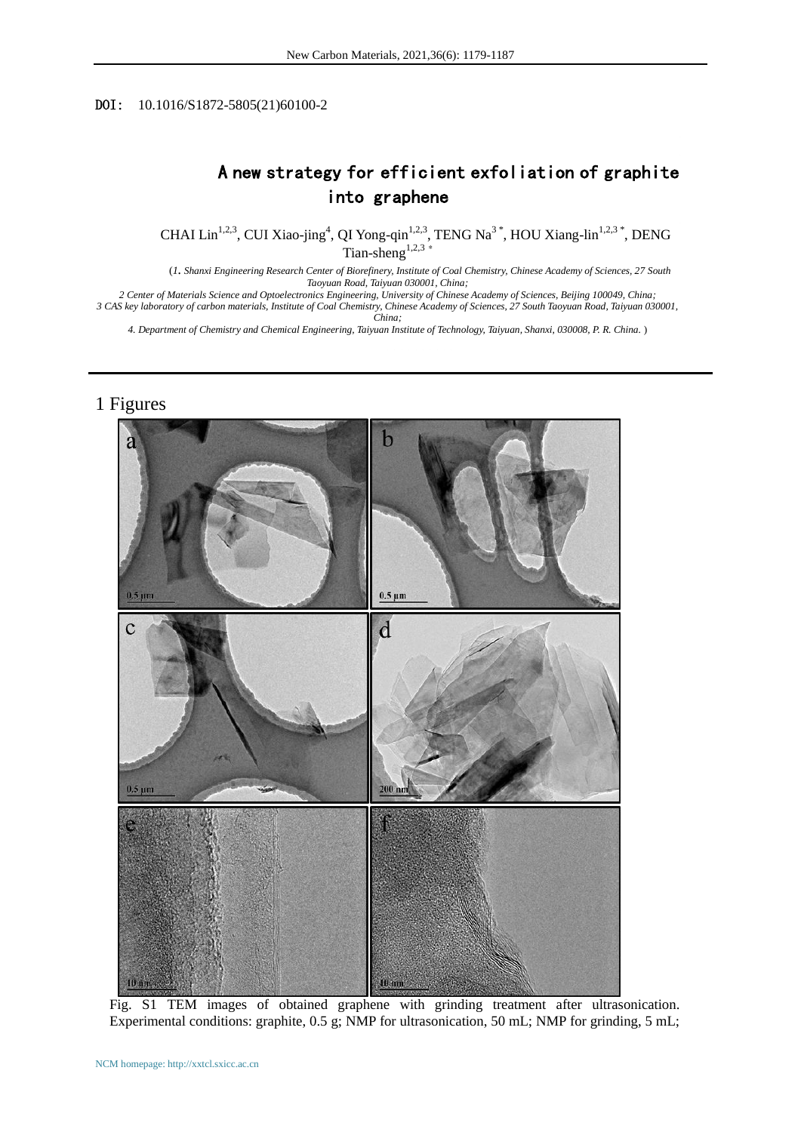## DOI: 10.1016/S1872-5805(21)60100-2

## A new strategy for efficient exfoliation of graphite into graphene

CHAI Lin<sup>1,2,3</sup>, CUI Xiao-jing<sup>4</sup>, QI Yong-qin<sup>1,2,3</sup>, TENG Na<sup>3\*</sup>, HOU Xiang-lin<sup>1,2,3\*</sup>, DENG Tian-sheng $^{1,2,3}$  \*

 (*1. Shanxi Engineering Research Center of Biorefinery, Institute of Coal Chemistry, Chinese Academy of Sciences, 27 South Taoyuan Road, Taiyuan 030001, China;* 

*2 Center of Materials Science and Optoelectronics Engineering, University of Chinese Academy of Sciences, Beijing 100049, China; 3 CAS key laboratory of carbon materials, Institute of Coal Chemistry, Chinese Academy of Sciences, 27 South Taoyuan Road, Taiyuan 030001, China;* 

*4. Department of Chemistry and Chemical Engineering, Taiyuan Institute of Technology, Taiyuan, Shanxi, 030008, P. R. China.* )

## 1 Figures



Fig. S1 TEM images of obtained graphene with grinding treatment after ultrasonication. Experimental conditions: graphite, 0.5 g; NMP for ultrasonication, 50 mL; NMP for grinding, 5 mL;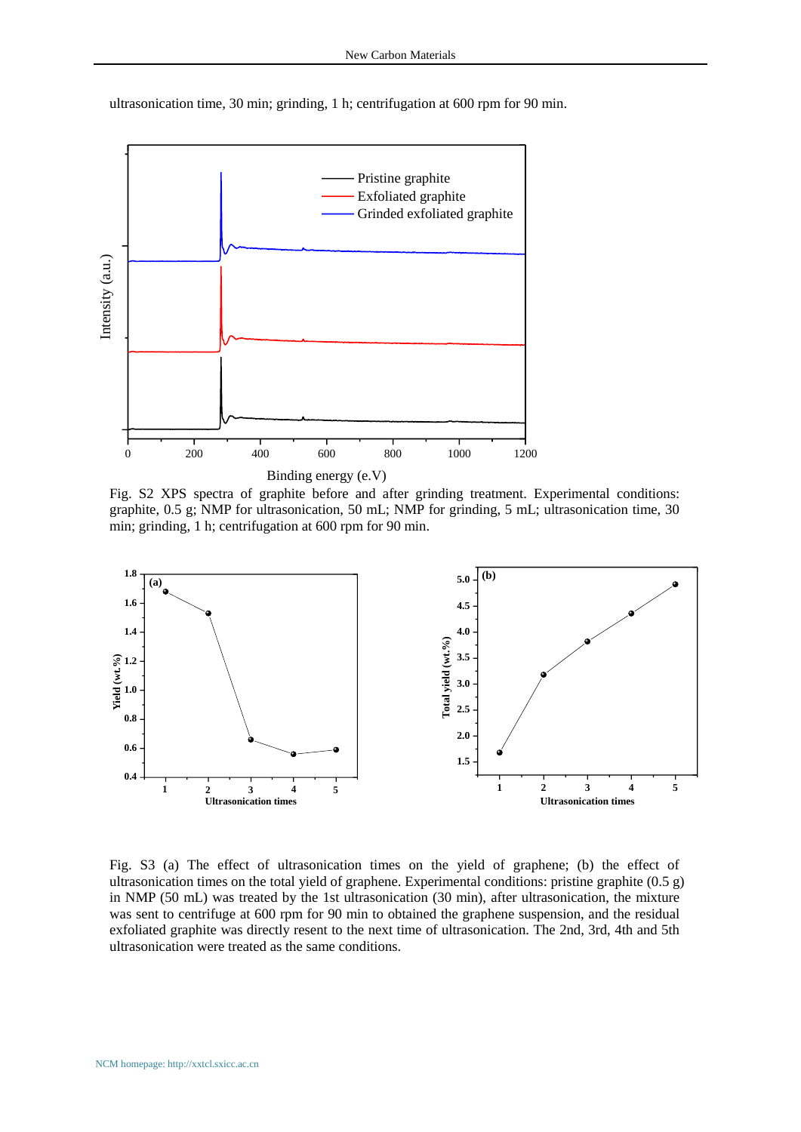ultrasonication time, 30 min; grinding, 1 h; centrifugation at 600 rpm for 90 min.



Fig. S2 XPS spectra of graphite before and after grinding treatment. Experimental conditions: graphite, 0.5 g; NMP for ultrasonication, 50 mL; NMP for grinding, 5 mL; ultrasonication time, 30 min; grinding, 1 h; centrifugation at 600 rpm for 90 min.



Fig. S3 (a) The effect of ultrasonication times on the yield of graphene; (b) the effect of ultrasonication times on the total yield of graphene. Experimental conditions: pristine graphite (0.5 g) in NMP (50 mL) was treated by the 1st ultrasonication (30 min), after ultrasonication, the mixture was sent to centrifuge at 600 rpm for 90 min to obtained the graphene suspension, and the residual exfoliated graphite was directly resent to the next time of ultrasonication. The 2nd, 3rd, 4th and 5th ultrasonication were treated as the same conditions.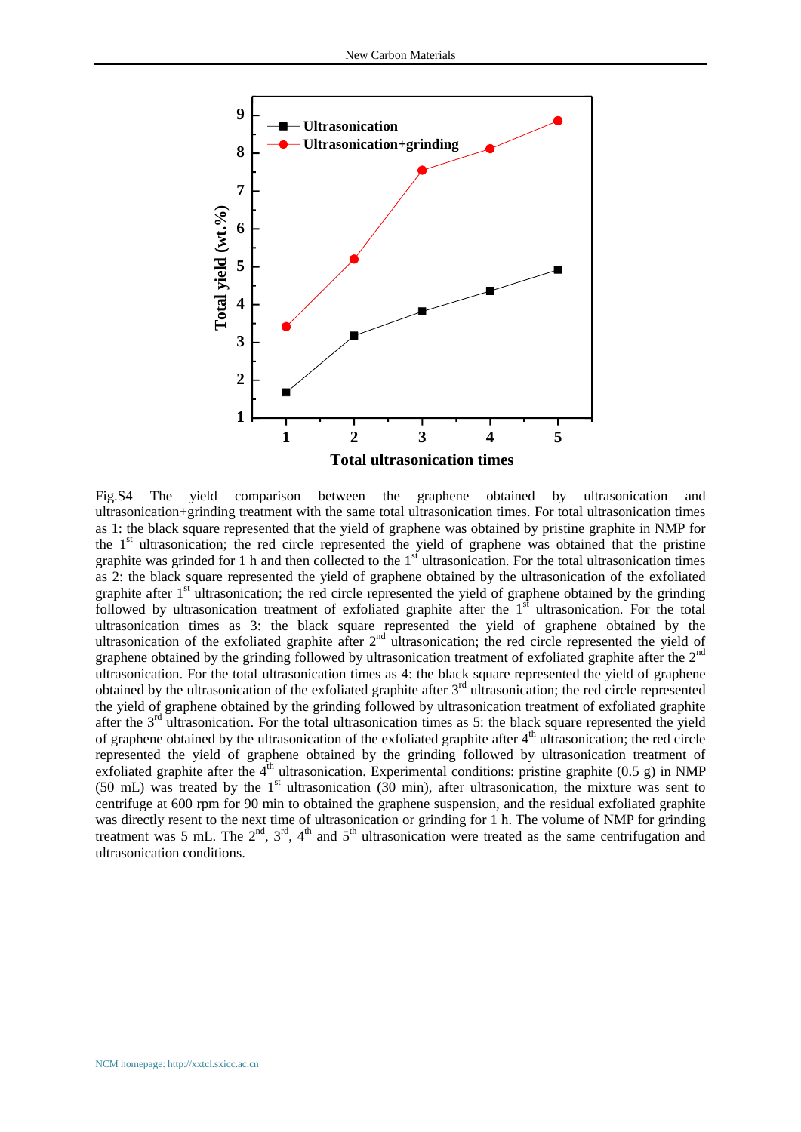

Fig.S4 The yield comparison between the graphene obtained by ultrasonication and ultrasonication+grinding treatment with the same total ultrasonication times. For total ultrasonication times as 1: the black square represented that the yield of graphene was obtained by pristine graphite in NMP for the  $1<sup>st</sup>$  ultrasonication; the red circle represented the yield of graphene was obtained that the pristine graphite was grinded for 1 h and then collected to the  $1<sup>st</sup>$  ultrasonication. For the total ultrasonication times as 2: the black square represented the yield of graphene obtained by the ultrasonication of the exfoliated graphite after  $1<sup>st</sup>$  ultrasonication; the red circle represented the yield of graphene obtained by the grinding followed by ultrasonication treatment of exfoliated graphite after the  $1<sup>st</sup>$  ultrasonication. For the total ultrasonication times as 3: the black square represented the yield of graphene obtained by the ultrasonication of the exfoliated graphite after  $2<sup>nd</sup>$  ultrasonication; the red circle represented the yield of graphene obtained by the grinding followed by ultrasonication treatment of exfoliated graphite after the  $2<sup>nd</sup>$ ultrasonication. For the total ultrasonication times as 4: the black square represented the yield of graphene obtained by the ultrasonication of the exfoliated graphite after  $3<sup>rd</sup>$  ultrasonication; the red circle represented the yield of graphene obtained by the grinding followed by ultrasonication treatment of exfoliated graphite after the 3<sup>rd</sup> ultrasonication. For the total ultrasonication times as 5: the black square represented the yield of graphene obtained by the ultrasonication of the exfoliated graphite after  $4<sup>th</sup>$  ultrasonication; the red circle represented the yield of graphene obtained by the grinding followed by ultrasonication treatment of exfoliated graphite after the  $4<sup>th</sup>$  ultrasonication. Experimental conditions: pristine graphite (0.5 g) in NMP (50 mL) was treated by the  $1<sup>st</sup>$  ultrasonication (30 min), after ultrasonication, the mixture was sent to centrifuge at 600 rpm for 90 min to obtained the graphene suspension, and the residual exfoliated graphite was directly resent to the next time of ultrasonication or grinding for 1 h. The volume of NMP for grinding treatment was 5 mL. The  $2<sup>nd</sup>$ ,  $3<sup>rd</sup>$ ,  $4<sup>th</sup>$  and  $5<sup>th</sup>$  ultrasonication were treated as the same centrifugation and ultrasonication conditions.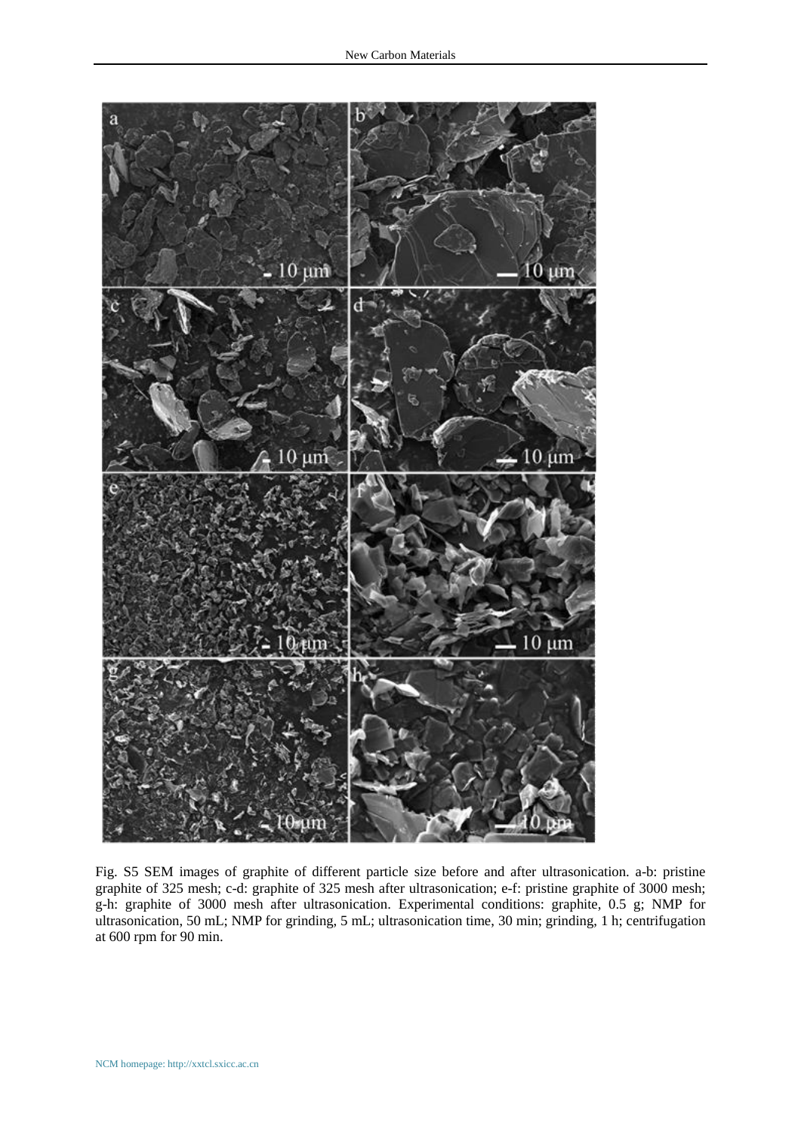

Fig. S5 SEM images of graphite of different particle size before and after ultrasonication. a-b: pristine graphite of 325 mesh; c-d: graphite of 325 mesh after ultrasonication; e-f: pristine graphite of 3000 mesh; g-h: graphite of 3000 mesh after ultrasonication. Experimental conditions: graphite, 0.5 g; NMP for ultrasonication, 50 mL; NMP for grinding, 5 mL; ultrasonication time, 30 min; grinding, 1 h; centrifugation at 600 rpm for 90 min.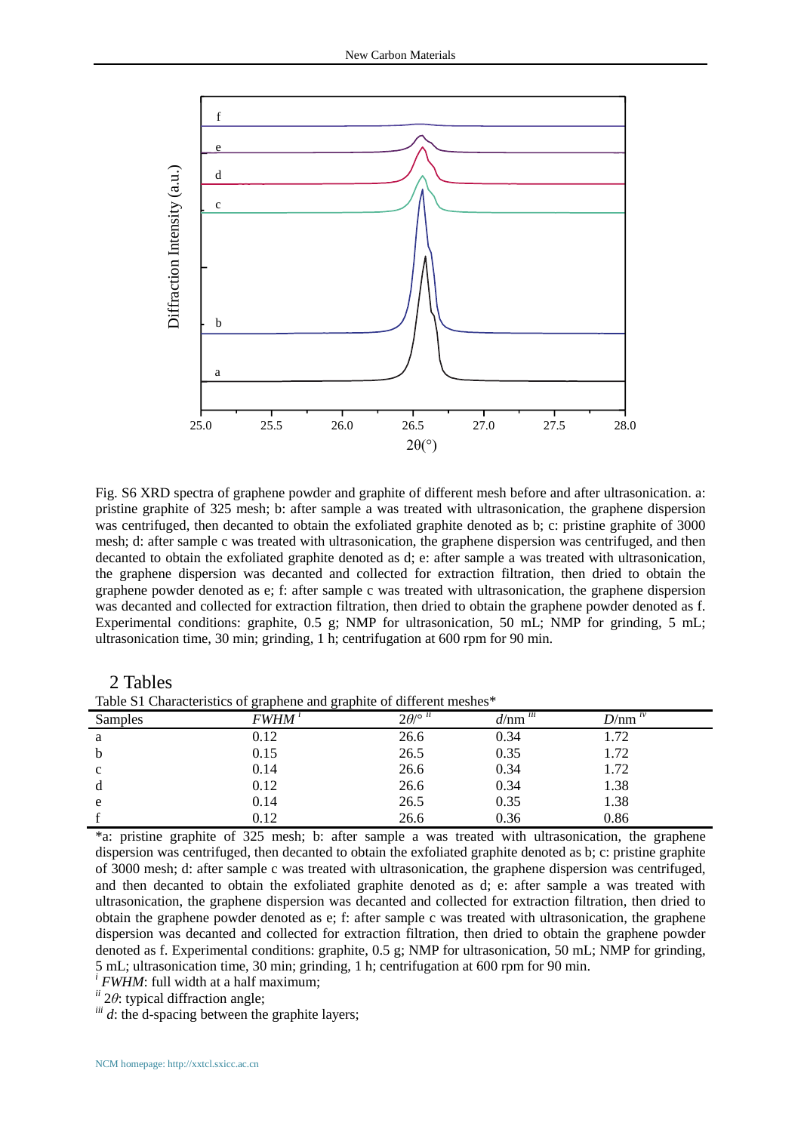

Fig. S6 XRD spectra of graphene powder and graphite of different mesh before and after ultrasonication. a: pristine graphite of 325 mesh; b: after sample a was treated with ultrasonication, the graphene dispersion was centrifuged, then decanted to obtain the exfoliated graphite denoted as b; c: pristine graphite of 3000 mesh; d: after sample c was treated with ultrasonication, the graphene dispersion was centrifuged, and then decanted to obtain the exfoliated graphite denoted as d; e: after sample a was treated with ultrasonication, the graphene dispersion was decanted and collected for extraction filtration, then dried to obtain the graphene powder denoted as e; f: after sample c was treated with ultrasonication, the graphene dispersion was decanted and collected for extraction filtration, then dried to obtain the graphene powder denoted as f. Experimental conditions: graphite, 0.5 g; NMP for ultrasonication, 50 mL; NMP for grinding, 5 mL; ultrasonication time, 30 min; grinding, 1 h; centrifugation at 600 rpm for 90 min.

Table S1 Characteristics of graphene and graphite of different meshes\*

| Table DT Characteristics of graphene and graphite of unferent meshes |             |                                   |                                                |             |  |
|----------------------------------------------------------------------|-------------|-----------------------------------|------------------------------------------------|-------------|--|
| Samples                                                              | <i>FWHM</i> | $2\theta$ / $\circ$ <sup>ii</sup> | $\overline{d/\text{nm}}$ <sup><i>iii</i></sup> | $D/nm^{iv}$ |  |
| a                                                                    | 0.12        | 26.6                              | 0.34                                           | 1.72        |  |
| b                                                                    | 0.15        | 26.5                              | 0.35                                           | 1.72        |  |
| $\mathbf{c}$                                                         | 0.14        | 26.6                              | 0.34                                           | 1.72        |  |
| d                                                                    | 0.12        | 26.6                              | 0.34                                           | 1.38        |  |
| e                                                                    | 0.14        | 26.5                              | 0.35                                           | 1.38        |  |
|                                                                      | 0.12        | 26.6                              | 0.36                                           | 0.86        |  |

\*a: pristine graphite of 325 mesh; b: after sample a was treated with ultrasonication, the graphene dispersion was centrifuged, then decanted to obtain the exfoliated graphite denoted as b; c: pristine graphite of 3000 mesh; d: after sample c was treated with ultrasonication, the graphene dispersion was centrifuged, and then decanted to obtain the exfoliated graphite denoted as d; e: after sample a was treated with ultrasonication, the graphene dispersion was decanted and collected for extraction filtration, then dried to obtain the graphene powder denoted as e; f: after sample c was treated with ultrasonication, the graphene dispersion was decanted and collected for extraction filtration, then dried to obtain the graphene powder denoted as f. Experimental conditions: graphite, 0.5 g; NMP for ultrasonication, 50 mL; NMP for grinding, 5 mL; ultrasonication time, 30 min; grinding, 1 h; centrifugation at 600 rpm for 90 min.

*i FWHM*: full width at a half maximum;

*ii* 2*θ*: typical diffraction angle;

 $\dddot{u}$  *d*: the d-spacing between the graphite layers;